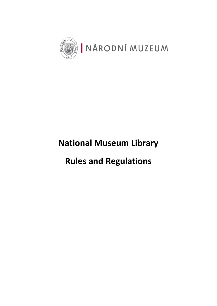

# **National Museum Library**

# **Rules and Regulations**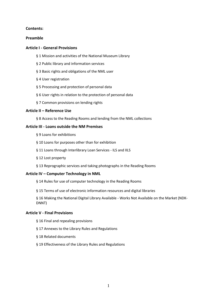#### **Contents:**

#### **Preamble**

#### **Article I - General Provisions**

- § 1 Mission and activities of the National Museum Library
- § 2 Public library and information services
- § 3 Basic rights and obligations of the NML user
- § 4 User registration
- § 5 Processing and protection of personal data
- § 6 User rights in relation to the protection of personal data
- § 7 Common provisions on lending rights

#### **Article II – Reference Use**

§ 8 Access to the Reading Rooms and lending from the NML collections

#### **Article III - Loans outside the NM Premises**

- § 9 Loans for exhibitions
- § 10 Loans for purposes other than for exhibition
- § 11 Loans through Interlibrary Loan Services ILS and IILS
- § 12 Lost property
- § 13 Reprographic services and taking photographs in the Reading Rooms

#### **Article IV – Computer Technology in NML**

§ 14 Rules for use of computer technology in the Reading Rooms

§ 15 Terms of use of electronic information resources and digital libraries

§ 16 Making the National Digital Library Available - Works Not Available on the Market (NDK-DNNT)

#### **Article V - Final Provisions**

- § 16 Final and repealing provisions
- § 17 Annexes to the Library Rules and Regulations
- § 18 Related documents
- § 19 Effectiveness of the Library Rules and Regulations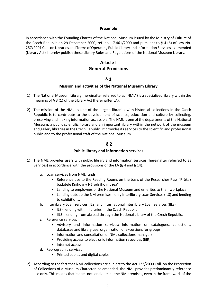#### **Preamble**

In accordance with the Founding Charter of the National Museum issued by the Ministry of Culture of the Czech Republic on 29 December 2000, ref. no. 17.461/2000 and pursuant to § 4 (6) of Law No. 257/2001 Coll. on Libraries and Terms of Operating Public Library and Information Services as amended (Library Act) I hereby publish these Library Rules and Regulations of the National Museum Library.

## **Article I General Provisions**

## **§ 1**

#### **Mission and activities of the National Museum Library**

- 1) The National Museum Library (hereinafter referred to as "NML") is a specialized library within the meaning of § 3 (1) of the Library Act (hereinafter LA).
- 2) The mission of the NML as one of the largest libraries with historical collections in the Czech Republic is to contribute to the development of science, education and culture by collecting, preserving and making information accessible. The NML is one of the departments of the National Museum, a public scientific library and an important library within the network of the museum and gallery libraries in the Czech Republic. It provides its services to the scientific and professional public and to the professional staff of the National Museum.

## **§ 2**

#### **Public library and information services**

- 1) The NML provides users with public library and information services (hereinafter referred to as Services) in accordance with the provisions of the LA (§ 4 and § 14):
	- a. Loan services from NML funds:
		- Reference use to the Reading Rooms on the basis of the Researcher Pass "Průkaz badatele Knihovny Národního muzea"
		- Lending to employees of the National Museum and emeritus to their workplace;
		- Lending outside the NM premises only Interlibrary Loan Services (ILS) and lending to exhibitions.
	- b. Interlibrary Loan Services (ILS) and International Interlibrary Loan Services (IILS)
		- ILS lending within libraries in the Czech Republic;
		- IILS lending from abroad through the National Library of the Czech Republic.
	- c. Reference services
		- Advisory and information services: information on catalogues, collections, databases and library use, organization of excursions for groups;
		- Information and consultation of NML collections managers;
		- Providing access to electronic information resources (EIR);
		- Internet access.
	- d. Reprographic services
		- Printed copies and digital copies.
- 2) According to the fact that NML collections are subject to the Act 122/2000 Coll. on the Protection of Collections of a Museum Character, as amended, the NML provides predominantly reference use only. This means that it does not lend outside the NM premises, even in the framework of the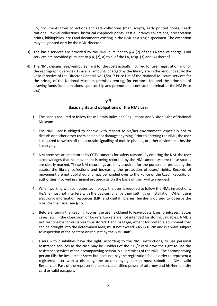ILS, documents from collections and rare collections (manuscripts, early printed books, Czech National Revival collections, historical chapbook prints, castle libraries collections, preservation prints, bibliophiles, etc.) and documents existing in the NML as a single specimen. The exception may be granted only by the NML director.

- 3) The basic services are provided by the NML pursuant to  $\S$  4 (2) of the LA free of charge. Paid services are provided pursuant to  $\S 4$ , (2), a) to c) of the LA, resp. (3) and (4) thereof.
- 4) The NML charges fees/reimbursement for the costs actually incurred for user registration and for the reprographic services. Financial amounts charged by the library are in the amount set by the valid Directive of the Director General No. 1/2017 Price List of the National Museum services for the pricing of the National Museum premises renting, for entrance fee and the principles of drawing funds from donations, sponsorship and promotional contracts (hereinafter the NM Price List).

## **§ 3**

#### **Basic rights and obligations of the NML user**

- 1) The user is required to follow these Library Rules and Regulations and Visitor Rules of National Museum.
- 2) The NML user is obliged to behave with respect to his/her environment, especially not to disturb or bother other users and do not damage anything. Prior to entering the NML, the user is required to switch off the acoustic signalling of mobile phones, or other devices that he/she is carrying.
- 3) NM premises are monitored by CCTV cameras for safety reasons. By entering the NM, the user acknowledges that his movement is being recorded by the NM camera system; these spaces are clearly marked. These NM recordings are only acquired for the purpose of protecting the assets, the library collections and increasing the protection of users' rights. Records of movement are not published and may be handed over to the Police of the Czech Republic or authorities involved in criminal proceedings on the basis of their written request.
- 4) When working with computer technology, the user is required to follow the NML instructions. He/she must not interfere with the devices; change their settings or installation. When using electronic information resources (EIR) and digital libraries, he/she is obliged to observe the rules for their use, see § 15.
- 5) Before entering the Reading Rooms, the user is obliged to leave coats, bags, briefcases, laptop cases, etc. in the cloakroom or lockers. Lockers are not intended for storing valuables. NML is not responsible for valuables thus stored. Hand baggage, except for portable equipment that can be brought into the determined area, must not exceed 30x21x10 cm and is always subject to inspection of the content on request by the NML staff.
- 6) Users with disabilities have the right, according to the NML instructions, to use personal assistance services as the case may be. Holders of the ZTP/P card have the right to use the assistance services of the accompanying person in all premises of the NML. The accompanying person fills the Researcher Sheet but does not pay the registration fee. In order to represent a registered user with a disability, the accompanying person must submit an NML valid Researcher Pass of the represented person, a certified power of attorney and his/her identity card or valid passport.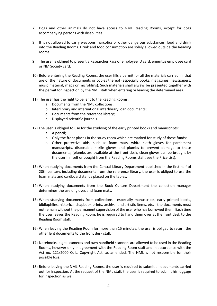- 7) Dogs and other animals do not have access to NML Reading Rooms, except for dogs accompanying persons with disabilities.
- 8) It is not allowed to carry weapons, narcotics or other dangerous substances, food and drink into the Reading Rooms. Drink and food consumption are solely allowed outside the Reading rooms.
- 9) The user is obliged to present a Researcher Pass or employee ID card, emeritus employee card or NM Society card.
- 10) Before entering the Reading Rooms, the user fills a permit for all the materials carried in, that are of the nature of documents or copies thereof (especially books, magazines, newspapers, music material, maps or microfilms). Such materials shall always be presented together with the permit for inspection by the NML staff when entering or leaving the determined area.
- 11) The user has the right to be lent to the Reading Rooms:
	- a. Documents from the NML collections;
	- b. Interlibrary and international interlibrary loan documents;
	- c. Documents from the reference library;
	- d. Displayed scientific journals.
- 12) The user is obliged to use for the studying of the early printed books and manuscripts:
	- a. A pencil;
	- b. Only the front places in the study room which are marked for study of these funds;
	- c. Other protective aids, such as foam mats, white cloth gloves for parchment manuscripts, disposable nitrile gloves and plumbs to prevent damage to these documents; (plumbs are available at the front desk, clean gloves can be brought by the user himself or bought from the Reading Rooms staff, see the Price List).
- 13) When studying documents from the Central Library Department published in the first half of 20th century, including documents from the reference library, the user is obliged to use the foam mats and cardboard stands placed on the tables.
- 14) When studying documents from the Book Culture Department the collection manager determines the use of gloves and foam mats.
- 15) When studying documents from collections especially manuscripts, early printed books, bibliophiles, historical chapbook prints, archival and artistic items, etc. - the documents must not remain without the permanent supervision of the user who has borrowed them. Each time the user leaves the Reading Room, he is required to hand them over at the front desk to the Reading Room staff.
- 16) When leaving the Reading Room for more than 15 minutes, the user is obliged to return the other lent documents to the front desk staff.
- 17) Notebooks, digital cameras and own handheld scanners are allowed to be used in the Reading Rooms, however only in agreement with the Reading Room staff and in accordance with the Act no. 121/2000 Coll., Copyright Act. as amended. The NML is not responsible for their possible loss.
- 18) Before leaving the NML Reading Rooms, the user is required to submit all documents carried out for inspection. At the request of the NML staff, the user is required to submit his luggage for inspection as well.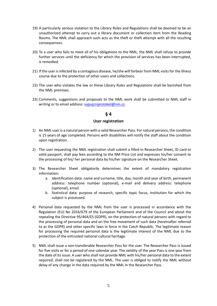- 19) A particularly serious violation to the Library Rules and Regulations shall be deemed to be an unauthorized attempt to carry out a library document or collection item from the Reading Rooms. The NML shall approach such acts as the theft or theft attempt with all the resulting consequences.
- 20) To a user who fails to meet all of his obligations to the NML, the NML shall refuse to provide further services until the deficiency for which the provision of services has been interrupted, is remedied.
- 21) If the user is infected by a contagious disease, he/she will forbear from NML visits for the illness course due to the protection of other users and collections.
- 22) The user who violates the law or these Library Rules and Regulations shall be banished from the NML premises.
- 23) Comments, suggestions and proposals to the NML work shall be submitted to NML staff in writing or to email address[: vypujcniprotokol@nm.cz.](mailto:vypujcniprotokol@nm.cz)

#### **User registration**

- 1) An NML user is a natural person with a valid Researcher Pass. For natural persons, the condition is 15 years of age completed. Persons with disabilities will notify the staff about the condition upon registration.
- 2) The user requesting the NML registration shall submit a filled-in Researcher Sheet, ID card or valid passport, shall pay fees according to the NM Price List and expresses his/her consent to the processing of his/ her personal data by his/her signature on the Researcher Sheet.
- 3) The Researcher Sheet obligatorily determines the extent of mandatory registration information:
	- a. Identification data: name and surname, title, day, month and year of birth, permanent address: telephone number (optional), e-mail and delivery address: telephone (optional), email.
	- b. Statistical data: purpose of research, specific topic focus, institution for which the subject is processed.
- 4) Personal data requested by the NML from the user is processed in accordance with the Regulation (EU) No 2016/679 of the European Parliament and of the Council and about the repealing the Directive 95/464/ES (GDPR), on the protection of natural persons with regard to the processing of personal data and on the free movement of such data (hereinafter referred to as the GDPR) and other specific laws in force in the Czech Republic. The legitimate reason for processing the required personal data is the legitimate interest of the NML due to the protection of the entrusted national cultural heritage.
- 5) NML shall issue a non-transferable Researcher Pass for the user. The Researcher Pass is issued for five visits or for a period of one calendar year. The validity of the year Pass is one year from the date of its issue. A user who shall not provide NML with his/her personal data to the extent required, shall not be registered by the NML. The user is obliged to notify the NML without delay of any change in the data required by the NML in the Researcher Pass.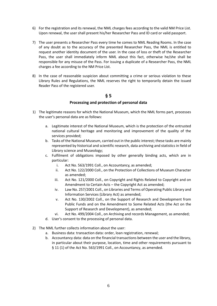- 6) For the registration and its renewal, the NML charges fees according to the valid NM Price List. Upon renewal, the user shall present his/her Researcher Pass and ID card or valid passport.
- 7) The user presents a Researcher Pass every time he comes to NML Reading Rooms. In the case of any doubt as to the accuracy of the presented Researcher Pass, the NML is entitled to request another identity document of the user. In the case of loss or theft of the Researcher Pass, the user shall immediately inform NML about this fact, otherwise he/she shall be responsible for any misuse of the Pass. For issuing a duplicate of a Researcher Pass, the NML charges a fee according to the NM Price List.
- 8) In the case of reasonable suspicion about committing a crime or serious violation to these Library Rules and Regulations, the NML reserves the right to temporarily detain the issued Reader Pass of the registered user.

#### **Processing and protection of personal data**

- 1) The legitimate reasons for which the National Museum, which the NML forms part, processes the user's personal data are as follows:
	- a. Legitimate interest of the National Museum, which is the protection of the entrusted national cultural heritage and monitoring and improvement of the quality of the services provided;
	- b. Tasks of the National Museum, carried out in the public interest; these tasks are mainly represented by historical and scientific research, data archiving and statistics in field of Library science and Museology;
	- c. Fulfilment of obligations imposed by other generally binding acts, which are in particular:
		- i. Act No. 563/1991 Coll., on Accountancy, as amended;
		- ii. Act No. 122/2000 Coll., on the Protection of Collections of Museum Character as amended;
		- iii. Act No. 121/2000 Coll., on Copyright and Rights Related to Copyright and on Amendment to Certain Acts – the Copyright Act as amended;
		- iv. Law No. 257/2001 Coll., on Libraries and Terms of Operating Public Library and Information Services (Library Act) as amended;
		- v. Act No. 130/2002 Coll., on the Support of Research and Development from Public Funds and on the Amendment to Some Related Acts (the Act on the Support of Research and Development), as amended;
		- vi. Act No. 499/2004 Coll., on Archiving and records Management, as amended;
	- d. User's consent to the processing of personal data.
- 2) The NML further collects information about the user:
	- a. Business data: transaction data: order, loan registration, renewal;
		- b. Accountancy data: data on the financial transactions between the user and the library, in particular about their purpose, location, time and other requirements pursuant to § 11 (1) of the Act No. 563/1991 Coll., on Accountancy, as amended.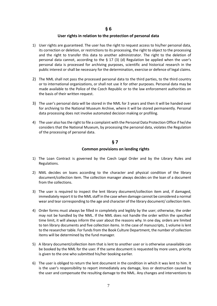#### **User rights in relation to the protection of personal data**

- 1) User rights are guaranteed. The user has the right to request access to his/her personal data, its correction or deletion, or restrictions to its processing, the right to object to the processing and the right to transfer this data to another administrator. The right to the deletion of personal data cannot, according to the  $\S$  17 (3) (d) Regulation be applied when the user's personal data is processed for archiving purposes, scientific and historical research in the public interest or shall be necessary for the determination, exercise or defence of legal claims.
- 2) The NML shall not pass the processed personal data to the third parties, to the third country or to international organizations, or shall not use it for other purposes. Personal data may be made available to the Police of the Czech Republic or to the law enforcement authorities on the basis of their written request.
- 3) The user's personal data will be stored in the NML for 3 years and then it will be handed over for archiving to the National Museum Archive, where it will be stored permanently. Personal data processing does not involve automated decision making or profiling.
- 4) The user also has the right to file a complaint with the Personal Data Protection Office if he/she considers that the National Museum, by processing the personal data, violates the Regulation of the processing of personal data.

#### **§ 7**

#### **Common provisions on lending rights**

- 1) The Loan Contract is governed by the Czech Legal Order and by the Library Rules and Regulations.
- 2) NML decides on loans according to the character and physical condition of the library document/collection item. The collection manager always decides on the loan of a document from the collections.
- 3) The user is required to inspect the lent library document/collection item and, if damaged, immediately report it to the NML staff in the case when damage cannot be considered a normal wear and tear corresponding to the age and character of the library document/ collection item.
- 4) Order forms must always be filled in completely and legibly by the user; otherwise, the order may not be handled by the NML. If the NML does not handle the order within the specified time limit, it will always inform the user about the reasons why. In one day, orders are limited to ten library documents and five collection items. In the case of manuscripts, 1 volume is lent to the researcher table. For funds from the Book Culture Department, the number of collection items will be determined by the fund manager.
- 5) A library document/collection item that is lent to another user or is otherwise unavailable can be booked by the NML for the user. If the same document is requested by more users, priority is given to the one who submitted his/her booking earlier.
- 6) The user is obliged to return the lent document in the condition in which it was lent to him. It is the user's responsibility to report immediately any damage, loss or destruction caused by the user and compensate the resulting damage to the NML. Any changes and interventions to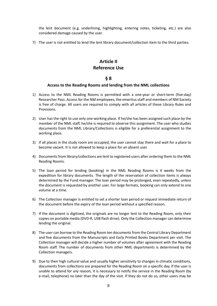the lent document (e.g. underlining, highlighting, entering notes, ticketing, etc.) are also considered damage caused by the user.

7) The user is not entitled to lend the lent library document/collection item to the third parties.

## **Article II Reference Use**

#### **§ 8**

#### **Access to the Reading Rooms and lending from the NML collections**

- 1) Access to the NML Reading Rooms is permitted with a one-year or short-term (five-day) Researcher Pass. Access for the NM employees, the emeritus staff and members of NM Society is free of charge. All users are required to comply with all articles of these Library Rules and Provisions.
- 2) User has the right to use only one working place. If he/she has been assigned such place by the member of the NML staff, he/she is required to observe this assignment. The user who studies documents from the NML Library/Collections is eligible for a preferential assignment to the working place.
- 3) If all places in the study room are occupied, the user cannot stay there and wait for a place to become vacant. It is not allowed to keep a place for an absent user.
- 4) Documents from library/collections are lent to registered users after ordering them to the NML Reading Rooms.
- 5) The loan period for lending (booking) in the NML Reading Rooms is 4 weeks from the expedition for library documents. The length of the reservation of collection items is always determined by the Fund manager. The loan period may be prolonged, even repeatedly, unless the document is requested by another user. For large formats, booking can only extend to one volume at a time.
- 6) The Collection manager is entitled to set a shorter loan period or request immediate return of the document before the expiry of the loan period without a specified reason.
- 7) If the document is digitized, the originals are no longer lent to the Reading Room, only their copies on portable media (DVD-R, USB flash drive). Only the Collection manager can determine lending the original.
- 8) The user can borrow to the Reading Room ten documents from the Central Library Department and five documents from the Manuscripts and Early Printed Books Department per visit. The Collection manager will decide a higher number of volumes after agreement with the Reading Room staff. The number of documents from other NML departments is determined by the Collection managers.
- 9) Due to their high cultural value and usually higher sensitivity to changes in climatic conditions, documents from collections are prepared for the Reading Room on a specific day. If the user is unable to attend for any reason, it is necessary to notify the service in the Reading Room (by e-mail, telephone) no later than the day of the visit. If they do not do so, other users may be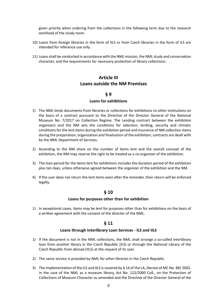given priority when ordering from the collections in the following term due to the research workload of the study room.

- 10) Loans from foreign libraries in the form of IILS or from Czech libraries in the form of ILS are intended for reference use only.
- 11) Loansshall be conducted in accordance with the NML mission, the NML study and conservation character, and the requirements for necessary protection of library collections.

## **Article III Loans outside the NM Premises**

#### **§ 9**

#### **Loans for exhibitions**

- 1) The NML lends documents from libraries or collections for exhibitions to other institutions on the basis of a contract pursuant to the Directive of the Director General of the National Museum No. 7/2017 on Collection Regime. The Lending contract between the exhibition organizers and the NM sets the conditions for selection, lending, security and climatic conditions for the lent items during the exhibition period and insurance of NM collection items during the preparation, organization and finalization of the exhibition; contracts are dealt with by the NML Department of Services.
- 2) According to the NM share on the number of items lent and the overall concept of the exhibition, the NM may reserve the right to be treated as a co-organiser of the exhibition.
- 3) The loan period for the items lent for exhibitions includes the duration period of the exhibition plus ten days, unless otherwise agreed between the organizer of the exhibition and the NM.
- 4) If the user does not return the lent items even after the reminder, their return will be enforced legally.

#### **§ 10**

#### **Loans for purposes other than for exhibition**

1) In exceptional cases, items may be lent for purposes other than for exhibitions on the basis of a written agreement with the consent of the director of the NML.

#### **§ 11**

#### **Loans through Interlibrary Loan Services - ILS and IILS**

- 1) If the document is not in the NML collections, the NML shall arrange a so-called interlibrary loan from another library in the Czech Republic (ILS) or through the National Library of the Czech Republic from abroad (IILS) at the request of its user.
- 2) The same service is provided by NML for other libraries in the Czech Republic.
- 3) The implementation of the ILS and IILS is covered by § 14 of the LA, Decree of MC No. 88/ 2002. In the case of the NML as a museum library, Act No. 122/2000 Coll., on the Protection of Collections of Museum Character as amended and the Directive of the Director General of the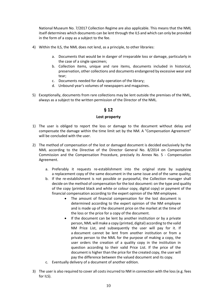National Museum No. 7/2017 Collection Regime are also applicable. This means that the NML itself determines which documents can be lent through the ILS and which can only be provided in the form of a copy as a subject to the fee.

- 4) Within the ILS, the NML does not lend, as a principle, to other libraries:
	- a. Documents that would be in danger of irreparable loss or damage, particularly in the case of a single specimen;
	- b. Collection items, unique and rare items, documents included in historical, preservation, other collections and documents endangered by excessive wear and tear;
	- c. Documents needed for daily operation of the library;
	- d. Unbound year's volumes of newspapers and magazines.
- 5) Exceptionally, documents from rare collections may be lent outside the premises of the NML, always as a subject to the written permission of the Director of the NML.

#### **§ 12**

#### **Lost property**

- 1) The user is obliged to report the loss or damage to the document without delay and compensate the damage within the time limit set by the NM. A "Compensation Agreement" will be concluded with the user.
- 2) The method of compensation of the lost or damaged document is decided exclusively by the NML according to the Directive of the Director General No. 8/2014 on Compensation Commission and the Compensation Procedure, precisely its Annex No. 5 - Compensation Agreement.
	- a. Preferably it requests re-establishment into the original state by supplying a replacement copy of the same document in the same issue and of the same quality;
	- b. If the re-establishment is not possible or purposeful, the Collection manager shall decide on the method of compensation for the lost document: on the type and quality of the copy (printed black and white or colour copy, digital copy) or payment of the financial compensation according to the expert opinion of the NM employee.
		- The amount of financial compensation for the lost document is determined according to the expert opinion of the NM employee and is made up of the document price on the market at the time of the loss or the price for a copy of the document.
		- If the document can be lent by another institution or by a private person, NML will make a copy (printed, digital) according to the valid NM Price List, and subsequently the user will pay for it. If a document cannot be lent from another institution or from a private person to the NML for the purpose of making a copy, the user orders the creation of a quality copy in the institution in question according to their valid Price List. If the price of the document is higher than the price for the created copy, the user will pay the difference between the valued document and its copy.
	- c. Eventually delivery of a document of another edition.
- 3) The user is also required to cover all costs incurred to NM in connection with the loss (e.g. fees for ILS).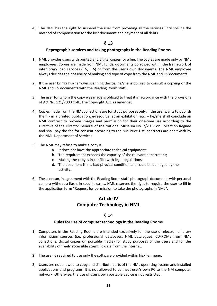4) The NML has the right to suspend the user from providing all the services until solving the method of compensation for the lost document and payment of all debts.

## **§ 13**

#### **Reprographic services and taking photographs in the Reading Rooms**

- 1) NML provides users with printed and digital copies for a fee. The copies are made only by NML employees. Copies are made from NML funds, documents borrowed within the framework of interlibrary loan services (ILS, IILS) or from the user's own documents. The NML employee always decides the possibility of making and type of copy from the NML and ILS documents.
- 2) If the user brings his/her own scanning device, he/she is obliged to consult a copying of the NML and ILS documents with the Reading Room staff.
- 3) The user for whom the copy was made is obliged to treat it in accordance with the provisions of Act No. 121/2000 Coll., The Copyright Act. as amended.
- 4) Copies made from the NML collections are for study purposes only. If the user wants to publish them - in a printed publication, e-resource, at an exhibition, etc. – he/she shall conclude an NML contract to provide images and permission for their one-time use according to the Directive of the Director General of the National Museum No. 7/2017 on Collection Regime and shall pay the fee for consent according to the NM Price List; contracts are dealt with by the NML Department of Services.
- 5) The NML may refuse to make a copy if:
	- a. It does not have the appropriate technical equipment:
	- b. The requirement exceeds the capacity of the relevant department;
	- c. Making the copy is in conflict with legal regulations;
	- d. The document is in a bad physical condition and could be damaged by the activity.
- 6) The user can, in agreement with the Reading Room staff, photograph documents with personal camera without a flash. In specific cases, NML reserves the right to require the user to fill in the application form "Request for permission to take the photographs in NML".

## **Article IV Computer Technology in NML**

#### **§ 14**

#### **Rules for use of computer technology in the Reading Rooms**

- 1) Computers in the Reading Rooms are intended exclusively for the use of electronic library information sources (i.e. professional databases, NML catalogues, CD-ROMs from NML collections, digital copies on portable media) for study purposes of the users and for the availability of freely accessible scientific data from the Internet.
- 2) The user is required to use only the software provided within his/her menu.
- 3) Users are not allowed to copy and distribute parts of the NML operating system and installed applications and programs. It is not allowed to connect user's own PC to the NM computer network. Otherwise, the use of user's own portable device is not restricted.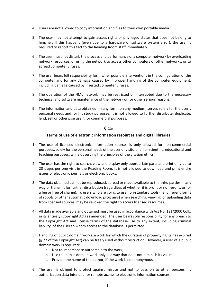- 4) Users are not allowed to copy information and files to their own portable media.
- 5) The user may not attempt to gain access rights or privileged status that does not belong to him/her. If this happens (even due to a hardware or software system error), the user is required to report this fact to the Reading Room staff immediately.
- 6) The user must not disturb the process and performance of a computer network by overloading network resources, or using the network to access other computers or other networks, or to spread computer viruses.
- 7) The user bears full responsibility for his/her possible interventions in the configuration of the computer and for any damage caused by improper handling of the computer equipment, including damage caused by inserted computer viruses.
- 8) The operation of the NML network may be restricted or interrupted due to the necessary technical and software maintenance of the network or for other serious reasons.
- 9) The information and data obtained (in any form, on any medium) serves solely for the user's personal needs and for his study purposes. It is not allowed to further distribute, duplicate, lend, sell or otherwise use it for commercial purposes.

#### **Terms of use of electronic information resources and digital libraries**

- 1) The use of licensed electronic information sources is only allowed for non-commercial purposes, solely for the personal needs of the user or visitor, i.e. for scientific, educational and teaching purposes, while observing the principles of the citation ethics.
- 2) The user has the right to search, view and display only appropriate parts and print only up to 20 pages per one visit in the Reading Room. It is not allowed to download and print entire issues of electronic journals or electronic books.
- 3) The data obtained cannot be reproduced, spread or made available to the third parties in any way or transmit for further distribution (regardless of whether it is profit or non-profit, or for a fee or free of charge). To users who are going to use non-standard tools (i.e. different forms of robots or other automatic download programs) when searching, viewing, or uploading data from licensed sources, may be revoked the right to access licensed resources.
- 4) All data made available and obtained must be used in accordance with Act No. 121/2000 Coll., in its entirety (Copyright Act) as amended. The user bears sole responsibility for any breach to the Copyright Act and license terms of the database use to any extent, including criminal liability, of the user to whom access to the database is permitted.
- 5) Handling of public domain works: a work for which the duration of property rights has expired (§ 27 of the Copyright Act) can be freely used without restriction. However, a user of a public domain work is required:
	- a. Not to impersonate authorship to the work,
	- b. Use the public domain work only in a way that does not diminish its value,
	- c. Provide the name of the author, if the work is not anonymous.
- 6) The user is obliged to protect against misuse and not to pass on to other persons his authorization data intended for remote access to electronic information sources.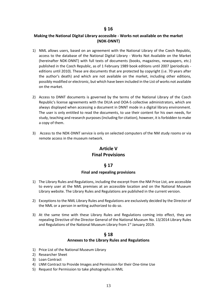#### **Making the National Digital Library accessible - Works not available on the market (NDK-DNNT)**

- 1) NML allows users, based on an agreement with the National Library of the Czech Republic, access to the database of the National Digital Library - Works Not Available on the Market (hereinafter NDK-DNNT) with full texts of documents (books, magazines, newspapers, etc.) published in the Czech Republic, as of 1 February 1989 book editions until 2007 (periodicals editions until 2010). These are documents that are protected by copyright (i.e. 70 years after the author's death) and which are not available on the market, including other editions, possibly modified or electronic, but which have been included in the List of works not available on the market.
- 2) Access to DNNT documents is governed by the terms of the National Library of the Czech Republic's license agreements with the DILIA and OOA-S collective administrators, which are always displayed when accessing a document in DNNT mode in a digital library environment. The user is only entitled to read the documents, to use their content for his own needs, for study, teaching and research purposes (including for citation), however, it is forbidden to make a copy of them.
- 3) Access to the NDK-DNNT service is only on selected computers of the NM study rooms or via remote access in the museum network.

## **Article V Final Provisions**

#### **§ 17**

#### **Final and repealing provisions**

- 1) The Library Rules and Regulations, including the excerpt from the NM Price List, are accessible to every user at the NML premises at an accessible location and on the National Museum Library website. The Library Rules and Regulations are published in the current version.
- 2) Exceptions to the NML Library Rules and Regulations are exclusively decided by the Director of the NML or a person in writing authorized to do so.
- 3) At the same time with these Library Rules and Regulations coming into effect, they are repealing Directive of the Director General of the National Museum No. 13/2014 Library Rules and Regulations of the National Museum Library from  $1<sup>st</sup>$  January 2019.

#### **§ 18**

#### **Annexes to the Library Rules and Regulations**

- 1) Price List of the National Museum Library
- 2) Researcher Sheet
- 3) Loan Contract
- 4) LNM Contract to Provide Images and Permission for their One-time Use
- 5) Request for Permission to take photographs in NML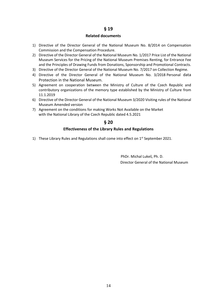#### **Related documents**

- 1) Directive of the Director General of the National Museum No. 8/2014 on Compensation Commission and the Compensation Procedure.
- 2) Directive of the Director General of the National Museum No. 1/2017 Price List of the National Museum Services for the Pricing of the National Museum Premises Renting, for Entrance Fee and the Principles of Drawing Funds from Donations, Sponsorship and Promotional Contracts.
- 3) Directive of the Director General of the National Museum No. 7/2017 on Collection Regime.
- 4) [Directive of the Director General of the National Museum No. 3/2018](https://intro.nm.cz/smrnice/Sm%C4%9Brnice%20G%C5%98%20NM%20%C4%8D.%2032018,%20o%20ochran%C4%9B%20osobn%C3%ADch%20%C3%BAdaj%C5%AF%20v%20N%C3%A1rodn%C3%ADm%20muzeu.docx) [Personal](https://intro.nm.cz/smrnice/Sm%C4%9Brnice%20G%C5%98%20NM%20%C4%8D.%2032018,%20o%20ochran%C4%9B%20osobn%C3%ADch%20%C3%BAdaj%C5%AF%20v%20N%C3%A1rodn%C3%ADm%20muzeu.docx) data Protection in the National Museum.
- 5) Agreement on cooperation between the Ministry of Culture of the Czech Republic and contributory organizations of the memory type established by the Ministry of Culture from 11.1.2019
- 6) Directive of the Director General of the National Museum 3/2020 Visiting rules of the National Museum Amended version
- 7) Agreement on the conditions for making Works Not Available on the Market with the National Library of the Czech Republic dated 4.5.2021

#### **§ 20**

#### **Effectiveness of the Library Rules and Regulations**

1) These Library Rules and Regulations shall come into effect on  $1<sup>st</sup>$  September 2021.

 PhDr. Michal Lukeš, Ph. D. Director General of the National Museum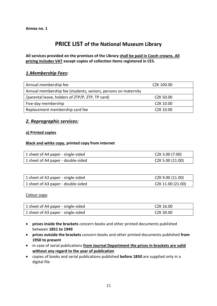# **PRICE LIST of the National Museum Library**

## **All services provided on the premises of the Library shall be paid in Czech crowns. All pricing includes VAT except copies of collection items registered in CES.**

## *1.Membership Fees***:**

| Annual membership fee                                          | CZK 100.00 |
|----------------------------------------------------------------|------------|
| Annual membership fee (students, seniors, persons on maternity |            |
| /parental leave, holders of ZTP/P, ZTP, TP card)               | CZK 50.00  |
| Five-day membership                                            | CZK 10.00  |
| Replacement membership card fee                                | CZK 10.00  |

## *2. Reprographic services:*

#### **a) Printed copies**

#### **Black and white copy, printed copy from internet**

| 1 sheet of A4 paper - single-sided | CZK 3.00 (7.00)  |
|------------------------------------|------------------|
| 1 sheet of A4 paper - double-sided | CZK 5.00 (11.00) |

| 1 sheet of A3 paper - single-sided | CZK 9.00 (11.00)  |
|------------------------------------|-------------------|
| 1 sheet of A3 paper - double-sided | CZK 11.00 (21.00) |

Colour copy:

| 1 sheet of A4 paper - single-sided | CZK 16.00 |
|------------------------------------|-----------|
| 1 sheet of A3 paper - single-sided | CZK 30.00 |

- **prices inside the brackets** concern books and other printed documents published between **1851 to 1949**
- **prices outside the brackets** concern books and other printed documents published **from 1950 to present**
- in case of serial publications **from Journal Department the prices in brackets are valid without any regard to the year of publication**
- copies of books and serial publications published **before 1850** are supplied only in a digital file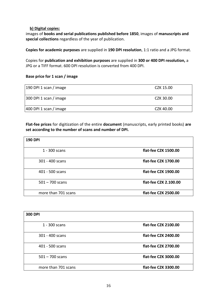#### **b) Digital copies:**

images of **books and serial publications published before 1850**, images of **manuscripts and special collections** regardless of the year of publication.

**Copies for academic purposes** are supplied in **190 DPI resolution**, 1:1 ratio and a JPG format.

Copies for **publication and exhibition purposes** are supplied in **300 or 400 DPI resolution,** a JPG or a TIFF format. 600 DPI resolution is converted from 400 DPI.

#### **Base price for 1 scan / image**

| 190 DPI 1 scan / image | CZK 15.00 |
|------------------------|-----------|
| 300 DPI 1 scan / image | CZK 30.00 |
| 400 DPI 1 scan / image | CZK 40.00 |

**Flat-fee prices** for digitization of the entire **document** (manuscripts, early printed books) **are set according to the number of scans and number of DPI.**

| <b>190 DPI</b>      |                       |
|---------------------|-----------------------|
| 1 - 300 scans       | flat-fee CZK 1500.00  |
| 301 - 400 scans     | flat-fee CZK 1700.00  |
| 401 - 500 scans     | flat-fee CZK 1900.00  |
| $501 - 700$ scans   | flat-fee CZK 2.100.00 |
| more than 701 scans | flat-fee CZK 2500.00  |

| <b>300 DPI</b>      |                      |
|---------------------|----------------------|
| 1 - 300 scans       | flat-fee CZK 2100.00 |
| 301 - 400 scans     | flat-fee CZK 2400.00 |
| 401 - 500 scans     | flat-fee CZK 2700.00 |
| $501 - 700$ scans   | flat-fee CZK 3000.00 |
| more than 701 scans | flat-fee CZK 3300.00 |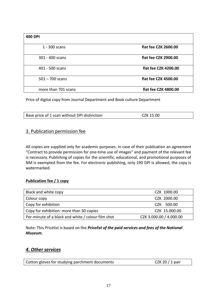| <b>400 DPI</b>      |                      |
|---------------------|----------------------|
| 1 - 300 scans       | flat fee CZK 2600.00 |
| 301 - 400 scans     | flat fee CZK 2900.00 |
| 401 - 500 scans     | flat fee CZK 4200.00 |
| $501 - 700$ scans   | flat fee CZK 4500.00 |
| more than 701 scans | flat fee CZK 4800.00 |

Price of digital copy from Journal Department and Book culture Department

| Base price of 1 scan without DPI distinction | CZK 15.00 |  |
|----------------------------------------------|-----------|--|
|                                              |           |  |

## 3. Publication permission fee

All copies are supplied only for academic purposes. In case of their publication an agreement "Contract to provide permission for one-time use of images" and payment of the relevant fee is necessary. Publishing of copies for the scientific, educational, and promotional purposes of NM is exempted from the fee. For electronic publishing, only 190 DPI is allowed, the copy is watermarked.

#### **Publication fee / 1 copy**

| Black and white copy                               | CZK 1000.00             |
|----------------------------------------------------|-------------------------|
| Colour copy                                        | CZK 2000.00             |
| Copy for exhibition                                | CZK 500.00              |
| Copy for exhibition: more than 30 copies           | CZK 15.000.00           |
| Per-minute of a black and white / colour film shot | CZK 3.000.00 / 4.000.00 |

Note: This Pricelist is based on the *Pricelist of the paid services and fees of the National Museum.*

## *4. Other services*

| Cotton gloves for studying parchment documents | CZK 20 $/$ 1 pair |
|------------------------------------------------|-------------------|
|------------------------------------------------|-------------------|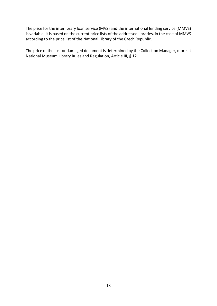The price for the interlibrary loan service (MVS) and the international lending service (MMVS) is variable, it is based on the current price lists of the addressed libraries, in the case of MMVS according to the price list of the National Library of the Czech Republic.

The price of the lost or damaged document is determined by the Collection Manager, more at National Museum Library Rules and Regulation, Article III, § 12.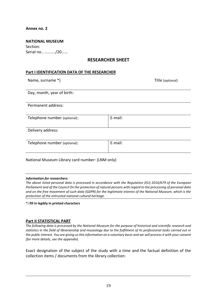#### **Annex no. 2**

| <b>NATIONAL MUSEUM</b> |
|------------------------|
| Section:               |
| Serial no /20          |

## **RESEARCHER SHEET**

#### **Part I IDENTIFICATION DATA OF THE RESEARCHER**

Name, surname \*) and the surface of the surface of the surface of the surface of the Title (optional)

Day, month, year of birth:

Permanent address:

| Telephone number (optional): | E-mail: |  |
|------------------------------|---------|--|
|------------------------------|---------|--|

Delivery address:

| Telephone number (optional): |  |  |
|------------------------------|--|--|
|------------------------------|--|--|

E-mail:

National Museum Library card number: (LNM only)

#### *Information for researchers:*

*The above listed personal data is processed in accordance with the Regulation (EU) 2016/679 of the European Parliament and of the Council On the protection of natural persons with regard to the processing of personal data and on the free movement of such data (GDPR) for the legitimate interest of the National Museum, which is the protection of the entrusted national cultural heritage.*

\*) **fill in legibly in printed characters**

#### **Part II STATISTICAL PART**

*The following data is processed by the National Museum for the purpose of historical and scientific research and statistics in the field of librarianship and museology due to the fulfilment of its professional tasks carried out in the public interest. You are giving us this information on a voluntary basis and we will process it with your consent (for more details, see the appendix).*

Exact designation of the subject of the study with a time and the factual definition of the collection items / documents from the library collection: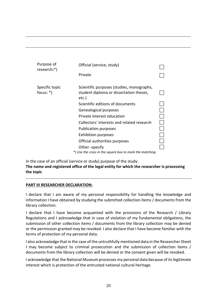| Purpose of<br>research:*)     | Official (service, study)                                                                     |  |
|-------------------------------|-----------------------------------------------------------------------------------------------|--|
|                               | Private                                                                                       |  |
| Specific topic<br>focus: $*)$ | Scientific purposes (studies, monographs,<br>student diploma or dissertation theses,<br>etc.) |  |
|                               | Scientific editions of documents                                                              |  |
|                               | Genealogical purposes                                                                         |  |
|                               | Private interest education                                                                    |  |
|                               | Collectors' interests and related research                                                    |  |
|                               | <b>Publication purposes</b>                                                                   |  |
|                               | <b>Exhibition purposes</b>                                                                    |  |
|                               | Official authorities purposes                                                                 |  |
|                               | Other -specify                                                                                |  |
|                               | *) Use the cross in the square box to mark the matching.                                      |  |

In the case of an official (service or study) purpose of the study: **The name and registered office of the legal entity for which the researcher is processing the topic**

#### **PART III RESEARCHER DECLARATION:**

I declare that I am aware of my personal responsibility for handling the knowledge and information I have obtained by studying the submitted collection items / documents from the library collection.

I declare that I have become acquainted with the provisions of the Research / Library Regulations and I acknowledge that in case of violation of my fundamental obligations, the submission of other collection items / documents from the library collection may be denied or the permission granted may be revoked. I also declare that I have become familiar with the terms of protection of my personal data.

I also acknowledge that in the case of the untruthfully mentioned data in the Researcher Sheet I may become subject to criminal prosecution and the submission of collection items / documents from the library collection will be denied or the consent given will be revoked.

I acknowledge that the National Museum processes my personal data because of its legitimate interest which is protection of the entrusted national cultural heritage.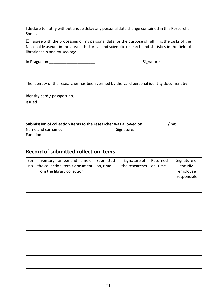I declare to notify without undue delay any personal data change contained in this Researcher Sheet.

 $\Box$  I agree with the processing of my personal data for the purpose of fulfilling the tasks of the National Museum in the area of historical and scientific research and statistics in the field of librarianship and museology.

| In Prague on | Signature |
|--------------|-----------|
|              |           |

The identity of the researcher has been verified by the valid personal identity document by:

\_\_\_\_\_\_\_\_\_\_\_\_\_\_\_\_\_\_\_\_\_\_\_\_\_\_\_\_\_\_\_\_\_\_\_\_\_\_\_\_\_\_\_\_\_\_\_\_\_\_\_\_\_\_\_\_\_\_\_\_\_\_\_\_\_\_\_\_\_\_\_\_\_\_\_\_\_\_\_\_\_\_\_\_\_\_\_\_\_\_\_\_\_\_\_\_\_\_\_\_\_

| Identity card / passport no. |  |
|------------------------------|--|
| issued                       |  |

| Submission of collection items to the researcher was allowed on | / by:      |  |
|-----------------------------------------------------------------|------------|--|
| Name and surname:                                               | Signature: |  |
| Function:                                                       |            |  |

# **Record of submitted collection items**

| Ser.<br>no. | Inventory number and name of<br>the collection item / document<br>from the library collection | Submitted<br>on, time | Signature of<br>the researcher | Returned<br>on, time | Signature of<br>the NM<br>employee<br>responsible |
|-------------|-----------------------------------------------------------------------------------------------|-----------------------|--------------------------------|----------------------|---------------------------------------------------|
|             |                                                                                               |                       |                                |                      |                                                   |
|             |                                                                                               |                       |                                |                      |                                                   |
|             |                                                                                               |                       |                                |                      |                                                   |
|             |                                                                                               |                       |                                |                      |                                                   |
|             |                                                                                               |                       |                                |                      |                                                   |
|             |                                                                                               |                       |                                |                      |                                                   |
|             |                                                                                               |                       |                                |                      |                                                   |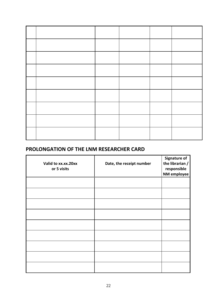## **PROLONGATION OF THE LNM RESEARCHER CARD**

| Valid to xx.xx.20xx<br>or 5 visits | Date, the receipt number | <b>Signature of</b><br>the librarian /<br>responsible<br>NM employee |
|------------------------------------|--------------------------|----------------------------------------------------------------------|
|                                    |                          |                                                                      |
|                                    |                          |                                                                      |
|                                    |                          |                                                                      |
|                                    |                          |                                                                      |
|                                    |                          |                                                                      |
|                                    |                          |                                                                      |
|                                    |                          |                                                                      |
|                                    |                          |                                                                      |
|                                    |                          |                                                                      |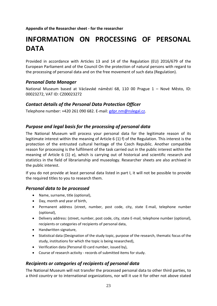**Appendix of the Researcher sheet - for the researcher**

# **INFORMATION ON PROCESSING OF PERSONAL DATA**

Provided in accordance with Articles 13 and 14 of the Regulation (EU) 2016/679 of the European Parliament and of the Council On the protection of natural persons with regard to the processing of personal data and on the free movement of such data (Regulation).

## *Personal Data Manager*

National Museum based at Václavské náměstí 68, 110 00 Prague 1 – Nové Město, ID: 00023272, VAT ID: CZ00023272

## *Contact details of the Personal Data Protection Officer*

Telephone number: +420 261 090 682. E-mail: [gdpr.nm@nslegal.cz.](mailto:gdpr.nm@nslegal.cz)

## *Purpose and legal basis for the processing of personal data*

The National Museum will process your personal data for the legitimate reason of its legitimate interest within the meaning of Article 6 (1) f) of the Regulation. This interest is the protection of the entrusted cultural heritage of the Czech Republic. Another compatible reason for processing is the fulfilment of the task carried out in the public interest within the meaning of Article 6 (1) e), which is carrying out of historical and scientific research and statistics in the field of librarianship and museology. Researcher sheets are also archived in the public interest.

If you do not provide at least personal data listed in part I, it will not be possible to provide the required titles to you to research them.

## *Personal data to be processed*

- Name, surname, title (optional),
- Day, month and year of birth,
- Permanent address (street, number, post code, city, state E-mail, telephone number (optional),
- Delivery address: (street, number, post code, city, state E-mail, telephone number (optional), recipients or categories of recipients of personal data,
- Handwritten signature,
- Statistical data (Designation of the study topic, purpose of the research, thematic focus of the study, institutions for which the topic is being researched),
- Verification data (Personal ID card number, issued by),
- Course of research activity records of submitted items for study.

## *Recipients or categories of recipients of personal data*

The National Museum will not transfer the processed personal data to other third parties, to a third country or to international organizations, nor will it use it for other not above stated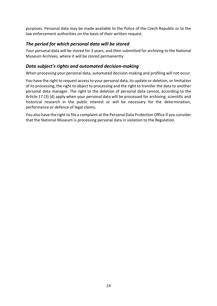purposes. Personal data may be made available to the Police of the Czech Republic or to the law enforcement authorities on the basis of their written request.

## *The period for which personal data will be stored*

Your personal data will be stored for 3 years, and then submitted for archiving to the National Museum Archives, where it will be stored permanently.

## *Data subject's rights and automated decision-making*

When processing your personal data, automated decision-making and profiling will not occur.

You have the right to request access to your personal data, its update or deletion, or limitation of its processing, the right to object to processing and the right to transfer the data to another personal data manager. The right to the deletion of personal data cannot, according to the Article 17 (3) (d) apply when your personal data will be processed for archiving, scientific and historical research in the public interest or will be necessary for the determination, performance or defence of legal claims.

You also have the right to file a complaint at the Personal Data Protection Office if you consider that the National Museum is processing personal data in violation to the Regulation.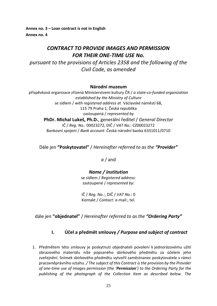**Annex no. 3 – Loan contract is not in English Annex no. 4**

# *CONTRACT TO PROVIDE IMAGES AND PERMISSION FOR THEIR ONE-TIME USE No.*

*pursuant to the provisions of Articles 2358 and the following of the Civil Code, as amended*

## **Národní muzeum**

příspěvková organizace zřízená Ministerstvem kultury ČR / *a state-co-funded organization established by the Ministry of Culture* se sídlem / *with registered address a*t Václavské náměstí 68, 115 79 Praha 1, Česká republika zastoupená / *represented by* **PhDr. Michal Lukeš, Ph.D.**, generální ředitel / *General Director* IČ / *Reg. No.:* 00023272, DIČ / *VAT No.*: CZ00023272 Bankovní spojení / *Bank account*: Česká národní banka 6331011/0710

Dále jen **"Poskytovatel"** / *Hereinafter referred to as the "Provider"*

*a* / and

## *Name / Institution*

se sídlem / *Registered address*: zastoupené / *represented by:*

IČ / *Reg. No.:*, DIČ / *VAT No.*: 0 Kontakt / *Contact:* e-mail:, tel.

dále jen **"objednatel"** / *Hereinafter referred to as the "Ordering Party"*

## **I. Účel a předmět smlouvy** */ Purpose and subject of contract*

1. Předmětem této smlouvy je poskytnutí objednateli povolení k jednorázovému užití obrazového materiálu níže popsaného sbírkového předmětu za účelem jeho zveřejnění. Snímek sbírkového předmětu vytvořil zaměstnanec poskytovatele v rámci pracovněprávního vztahu. */ The subject of this Contract is the provision by the Provider of one-time use of images permission (the 'Permission') to the Ordering Party for the publishing of the photograph of the Collection Item as described below. The*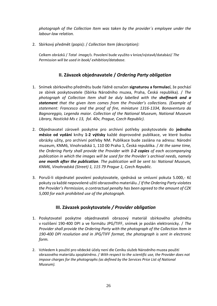*photograph of the Collection Item was taken by the provider´s employee under the labour-law relation.*

2. Sbírkový předmět (popis): / *Collection Item (description):*

Celkem obrázků / *Total image/s.* Povolení bude využito v knize/výstavě/databázi/ *The Permission will be used in book/ exhibition/database.*

## **II. Závazek objednavatele /** *Ordering Party obligation*

- 1. Snímek sbírkového předmětu bude řádně označen **signaturou a formulací**, že pochází ze sbírek poskytovatele (Sbírka Národního muzea, Praha, Česká republika). / *The photograph of Collection Item shall be duly labelled with the shelfmark and a statement that the given item comes from the Provider's collections. (Example of statement: Francesco and the proof of fire, miniature 1316-1334, Bonaventura da Bagnoreggio, Legenda maior. Collection of the National Museum, National Museum Library, Nostická Ms c 13, fol. 40v, Prague, Czech Republic).*
- 2. Objednavatel zároveň poskytne pro archivní potřeby poskytovatele do **jednoho měsíce od vydání** knihy **1-2 výtisky** každé doprovodné publikace, ve které budou obrázky užity, pro archivní potřeby NM. Publikace bude zaslána na adresu: Národní muzeum, KNM6, Vinohradská 1, 110 00 Praha 1, Česká republika. / *At the same time, the Ordering Party shall provide the Provider with 1-2 copies of each accompanying publication in which the images will be used for the Provider´s archival needs, namely one month after the publication. The publication will be sent to: National Museum, KNM6, Vinohradská (Street) 1, 115 79 Prague 1, Czech Republic.*
- 3. Poruší-li objednatel povolení poskytovatele, sjednává se smluvní pokuta 5.000,- Kč pokuty za každé nepovolené užití obrazového materiálu. / *If the Ordering Party violates the Provider's Permission, a contractual penalty has been agreed to the amount of CZK 5,000 for each prohibited use of the photograph.*

## **III. Závazek poskytovatele** */ Provider obligation*

- 1. Poskytovatel poskytne objednavateli obrazový materiál sbírkového předmětu v rozlišení 190-400 DPI a ve formátu JPG/TIFF, snímek je poslán elektronicky. / *The Provider shall provide the Ordering Party with the photograph of the Collection Item in 190-400 DPI resolution and in JPG/TIFF format, the photograph is sent in electronic form.*
- 2. Vzhledem k použití pro vědecké účely není dle Ceníku služeb Národního muzea použití obrazového materiálu zpoplatněno. / *With respect to the scientific use, the Provider does not impose charges for the photographs (as defined by the Services Price List of National Museum).*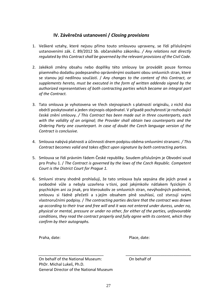## **IV. Závěrečná ustanovení /** *Closing provisions*

- 1. Veškeré vztahy, které nejsou přímo touto smlouvou upraveny, se řídí příslušnými ustanoveními zák. č. 89/2012 Sb. občanského zákoníku. */ Any relations not directly regulated by this Contract shall be governed by the relevant provisions of the Civil Code.*
- 2. Jakékoli změny obsahu nebo doplňky této smlouvy lze provádět pouze formou písemného dodatku podepsaného oprávněnými osobami obou smluvních stran, které se stanou její nedílnou součástí. / *Any changes to the content of this Contract, or supplements hereto, must be executed in the form of written addenda signed by the authorized representatives of both contracting parties which became an integral part of the Contract.*
- 3. Tato smlouva je vyhotovena ve třech stejnopisech s platností originálu, z nichž dva obdrží poskytovatel a jeden stejnopis objednatel. V případě pochybností je rozhodující české znění smlouvy. */ This Contract has been made out in three counterparts, each with the validity of an original; the Provider shall obtain two counterparts and the Ordering Party one counterpart. In case of doubt the Czech language version of the Contract is conclusive.*
- 4. Smlouva nabývá platnosti a účinnosti dnem podpisu oběma smluvními stranami*. / This Contract becomes valid and takes effect upon signature by both contracting parties.*
- 5. Smlouva se řídí právním řádem České republiky. Soudem příslušným je Obvodní soud pro Prahu 1. / *The Contract is governed by the laws of the Czech Republic. Competent Court is the District Court for Prague 1.*
- 6. Smluvní strany shodně prohlašují, že tato smlouva byla sepsána dle jejich pravé a svobodné vůle a nebyla uzavřena v tísni, pod jakýmkoliv nátlakem fyzickým či psychickým ani za jinak, pro kteroukoliv ze smluvních stran, nevýhodných podmínek, smlouvu si řádně přečetli a s jejím obsahem plně souhlasí, což stvrzují svými vlastnoručními podpisy. / *The contracting parties declare that the contract was drawn up according to their true and free will and it was not entered under duress, under no, physical or mental, pressure or under no other, for either of the parties, unfavourable conditions, they read the contract properly and fully agree with its content, which they confirm by their autographs.*

Praha, date: expression of the extension of the Place, date:

On behalf of the National Museum: On behalf of PhDr. Michal Lukeš, Ph.D. General Director of the National Museum

\_\_\_\_\_\_\_\_\_\_\_\_\_\_\_\_\_\_\_\_\_\_\_\_\_\_\_\_\_\_ \_\_\_\_\_\_\_\_\_\_\_\_\_\_\_\_\_\_\_\_\_\_\_\_\_\_\_\_\_\_